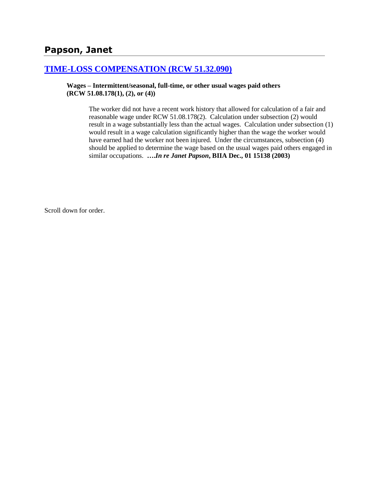# **Papson, Janet**

### **[TIME-LOSS COMPENSATION \(RCW 51.32.090\)](http://www.biia.wa.gov/SDSubjectIndex.html#TIME_LOSS_COMPENSATION)**

**Wages – Intermittent/seasonal, full-time, or other usual wages paid others (RCW 51.08.178(1), (2), or (4))**

> The worker did not have a recent work history that allowed for calculation of a fair and reasonable wage under RCW 51.08.178(2). Calculation under subsection (2) would result in a wage substantially less than the actual wages. Calculation under subsection (1) would result in a wage calculation significantly higher than the wage the worker would have earned had the worker not been injured. Under the circumstances, subsection (4) should be applied to determine the wage based on the usual wages paid others engaged in similar occupations. **….***In re Janet Papson***, BIIA Dec., 01 15138 (2003)**

Scroll down for order.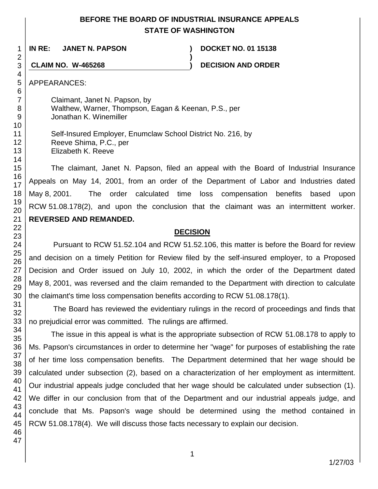## **BEFORE THE BOARD OF INDUSTRIAL INSURANCE APPEALS STATE OF WASHINGTON**

**)**

**IN RE: JANET N. PAPSON ) DOCKET NO. 01 15138**

**CLAIM NO. W-465268 ) DECISION AND ORDER**

APPEARANCES:

> Claimant, Janet N. Papson, by Walthew, Warner, Thompson, Eagan & Keenan, P.S., per Jonathan K. Winemiller

Self-Insured Employer, Enumclaw School District No. 216, by Reeve Shima, P.C., per Elizabeth K. Reeve

The claimant, Janet N. Papson, filed an appeal with the Board of Industrial Insurance Appeals on May 14, 2001, from an order of the Department of Labor and Industries dated May 8, 2001. The order calculated time loss compensation benefits based upon RCW 51.08.178(2), and upon the conclusion that the claimant was an intermittent worker. **REVERSED AND REMANDED.**

### **DECISION**

Pursuant to RCW 51.52.104 and RCW 51.52.106, this matter is before the Board for review and decision on a timely Petition for Review filed by the self-insured employer, to a Proposed Decision and Order issued on July 10, 2002, in which the order of the Department dated May 8, 2001, was reversed and the claim remanded to the Department with direction to calculate the claimant's time loss compensation benefits according to RCW 51.08.178(1).

The Board has reviewed the evidentiary rulings in the record of proceedings and finds that no prejudicial error was committed. The rulings are affirmed.

The issue in this appeal is what is the appropriate subsection of RCW 51.08.178 to apply to Ms. Papson's circumstances in order to determine her "wage" for purposes of establishing the rate of her time loss compensation benefits. The Department determined that her wage should be calculated under subsection (2), based on a characterization of her employment as intermittent. Our industrial appeals judge concluded that her wage should be calculated under subsection (1). We differ in our conclusion from that of the Department and our industrial appeals judge, and conclude that Ms. Papson's wage should be determined using the method contained in RCW 51.08.178(4). We will discuss those facts necessary to explain our decision.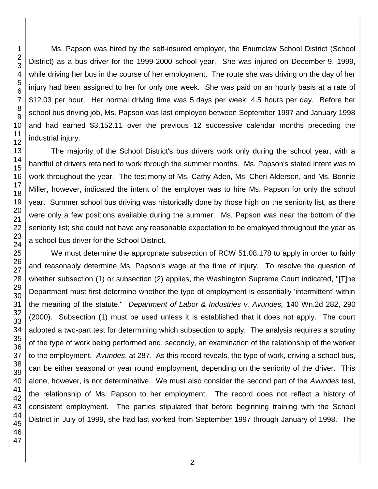Ms. Papson was hired by the self-insured employer, the Enumclaw School District (School District) as a bus driver for the 1999-2000 school year. She was injured on December 9, 1999, while driving her bus in the course of her employment. The route she was driving on the day of her injury had been assigned to her for only one week. She was paid on an hourly basis at a rate of \$12.03 per hour. Her normal driving time was 5 days per week, 4.5 hours per day. Before her school bus driving job, Ms. Papson was last employed between September 1997 and January 1998 and had earned \$3,152.11 over the previous 12 successive calendar months preceding the industrial injury.

The majority of the School District's bus drivers work only during the school year, with a handful of drivers retained to work through the summer months. Ms. Papson's stated intent was to work throughout the year. The testimony of Ms. Cathy Aden, Ms. Cheri Alderson, and Ms. Bonnie Miller, however, indicated the intent of the employer was to hire Ms. Papson for only the school year. Summer school bus driving was historically done by those high on the seniority list, as there were only a few positions available during the summer. Ms. Papson was near the bottom of the seniority list; she could not have any reasonable expectation to be employed throughout the year as a school bus driver for the School District.

We must determine the appropriate subsection of RCW 51.08.178 to apply in order to fairly and reasonably determine Ms. Papson's wage at the time of injury. To resolve the question of whether subsection (1) or subsection (2) applies, the Washington Supreme Court indicated, "[T]he Department must first determine whether the type of employment is essentially 'intermittent' within the meaning of the statute." *Department of Labor & Industries v. Avundes,* 140 Wn.2d 282, 290 (2000). Subsection (1) must be used unless it is established that it does not apply. The court adopted a two-part test for determining which subsection to apply. The analysis requires a scrutiny of the type of work being performed and, secondly, an examination of the relationship of the worker to the employment. *Avundes*, at 287. As this record reveals, the type of work, driving a school bus, can be either seasonal or year round employment, depending on the seniority of the driver. This alone, however, is not determinative. We must also consider the second part of the *Avundes* test, the relationship of Ms. Papson to her employment. The record does not reflect a history of consistent employment. The parties stipulated that before beginning training with the School District in July of 1999, she had last worked from September 1997 through January of 1998. The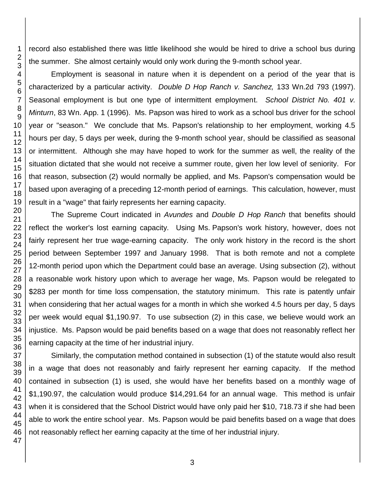record also established there was little likelihood she would be hired to drive a school bus during the summer. She almost certainly would only work during the 9-month school year.

Employment is seasonal in nature when it is dependent on a period of the year that is characterized by a particular activity. *Double D Hop Ranch v. Sanchez,* 133 Wn.2d 793 (1997). Seasonal employment is but one type of intermittent employment. *School District No. 401 v. Minturn*, 83 Wn. App. 1 (1996). Ms. Papson was hired to work as a school bus driver for the school year or "season." We conclude that Ms. Papson's relationship to her employment, working 4.5 hours per day, 5 days per week, during the 9-month school year, should be classified as seasonal or intermittent. Although she may have hoped to work for the summer as well, the reality of the situation dictated that she would not receive a summer route, given her low level of seniority. For that reason, subsection (2) would normally be applied, and Ms. Papson's compensation would be based upon averaging of a preceding 12-month period of earnings. This calculation, however, must result in a "wage" that fairly represents her earning capacity.

The Supreme Court indicated in *Avundes* and *Double D Hop Ranch* that benefits should reflect the worker's lost earning capacity*.* Using Ms. Papson's work history, however, does not fairly represent her true wage-earning capacity. The only work history in the record is the short period between September 1997 and January 1998. That is both remote and not a complete 12-month period upon which the Department could base an average. Using subsection (2), without a reasonable work history upon which to average her wage, Ms. Papson would be relegated to \$283 per month for time loss compensation, the statutory minimum. This rate is patently unfair when considering that her actual wages for a month in which she worked 4.5 hours per day, 5 days per week would equal \$1,190.97. To use subsection (2) in this case, we believe would work an injustice. Ms. Papson would be paid benefits based on a wage that does not reasonably reflect her earning capacity at the time of her industrial injury.

Similarly, the computation method contained in subsection (1) of the statute would also result in a wage that does not reasonably and fairly represent her earning capacity. If the method contained in subsection (1) is used, she would have her benefits based on a monthly wage of \$1,190.97, the calculation would produce \$14,291.64 for an annual wage. This method is unfair when it is considered that the School District would have only paid her \$10, 718.73 if she had been able to work the entire school year. Ms. Papson would be paid benefits based on a wage that does not reasonably reflect her earning capacity at the time of her industrial injury.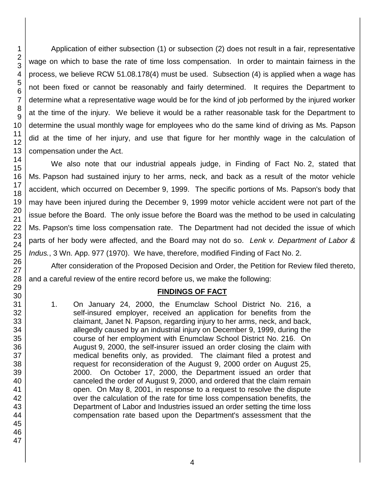Application of either subsection (1) or subsection (2) does not result in a fair, representative wage on which to base the rate of time loss compensation. In order to maintain fairness in the process, we believe RCW 51.08.178(4) must be used. Subsection (4) is applied when a wage has not been fixed or cannot be reasonably and fairly determined. It requires the Department to determine what a representative wage would be for the kind of job performed by the injured worker at the time of the injury. We believe it would be a rather reasonable task for the Department to determine the usual monthly wage for employees who do the same kind of driving as Ms. Papson did at the time of her injury, and use that figure for her monthly wage in the calculation of compensation under the Act.

We also note that our industrial appeals judge, in Finding of Fact No. 2, stated that Ms. Papson had sustained injury to her arms, neck, and back as a result of the motor vehicle accident, which occurred on December 9, 1999. The specific portions of Ms. Papson's body that may have been injured during the December 9, 1999 motor vehicle accident were not part of the issue before the Board. The only issue before the Board was the method to be used in calculating Ms. Papson's time loss compensation rate. The Department had not decided the issue of which parts of her body were affected, and the Board may not do so. *Lenk v. Department of Labor & Indus.*, 3 Wn. App. 977 (1970). We have, therefore, modified Finding of Fact No. 2.

After consideration of the Proposed Decision and Order, the Petition for Review filed thereto, and a careful review of the entire record before us, we make the following:

### **FINDINGS OF FACT**

1. On January 24, 2000, the Enumclaw School District No. 216, a self-insured employer, received an application for benefits from the claimant, Janet N. Papson, regarding injury to her arms, neck, and back, allegedly caused by an industrial injury on December 9, 1999, during the course of her employment with Enumclaw School District No. 216. On August 9, 2000, the self-insurer issued an order closing the claim with medical benefits only, as provided. The claimant filed a protest and request for reconsideration of the August 9, 2000 order on August 25, 2000. On October 17, 2000, the Department issued an order that canceled the order of August 9, 2000, and ordered that the claim remain open. On May 8, 2001, in response to a request to resolve the dispute over the calculation of the rate for time loss compensation benefits, the Department of Labor and Industries issued an order setting the time loss compensation rate based upon the Department's assessment that the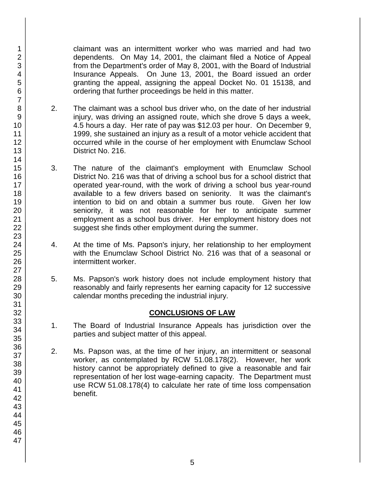claimant was an intermittent worker who was married and had two dependents. On May 14, 2001, the claimant filed a Notice of Appeal from the Department's order of May 8, 2001, with the Board of Industrial Insurance Appeals. On June 13, 2001, the Board issued an order granting the appeal, assigning the appeal Docket No. 01 15138, and ordering that further proceedings be held in this matter.

- 2. The claimant was a school bus driver who, on the date of her industrial injury, was driving an assigned route, which she drove 5 days a week, 4.5 hours a day. Her rate of pay was \$12.03 per hour. On December 9, 1999, she sustained an injury as a result of a motor vehicle accident that occurred while in the course of her employment with Enumclaw School District No. 216.
- 3. The nature of the claimant's employment with Enumclaw School District No. 216 was that of driving a school bus for a school district that operated year-round, with the work of driving a school bus year-round available to a few drivers based on seniority. It was the claimant's intention to bid on and obtain a summer bus route. Given her low seniority, it was not reasonable for her to anticipate summer employment as a school bus driver. Her employment history does not suggest she finds other employment during the summer.
- 4. At the time of Ms. Papson's injury, her relationship to her employment with the Enumclaw School District No. 216 was that of a seasonal or intermittent worker.
- 5. Ms. Papson's work history does not include employment history that reasonably and fairly represents her earning capacity for 12 successive calendar months preceding the industrial injury.

## **CONCLUSIONS OF LAW**

- 1. The Board of Industrial Insurance Appeals has jurisdiction over the parties and subject matter of this appeal.
- 2. Ms. Papson was, at the time of her injury, an intermittent or seasonal worker, as contemplated by RCW 51.08.178(2). However, her work history cannot be appropriately defined to give a reasonable and fair representation of her lost wage-earning capacity. The Department must use RCW 51.08.178(4) to calculate her rate of time loss compensation benefit.